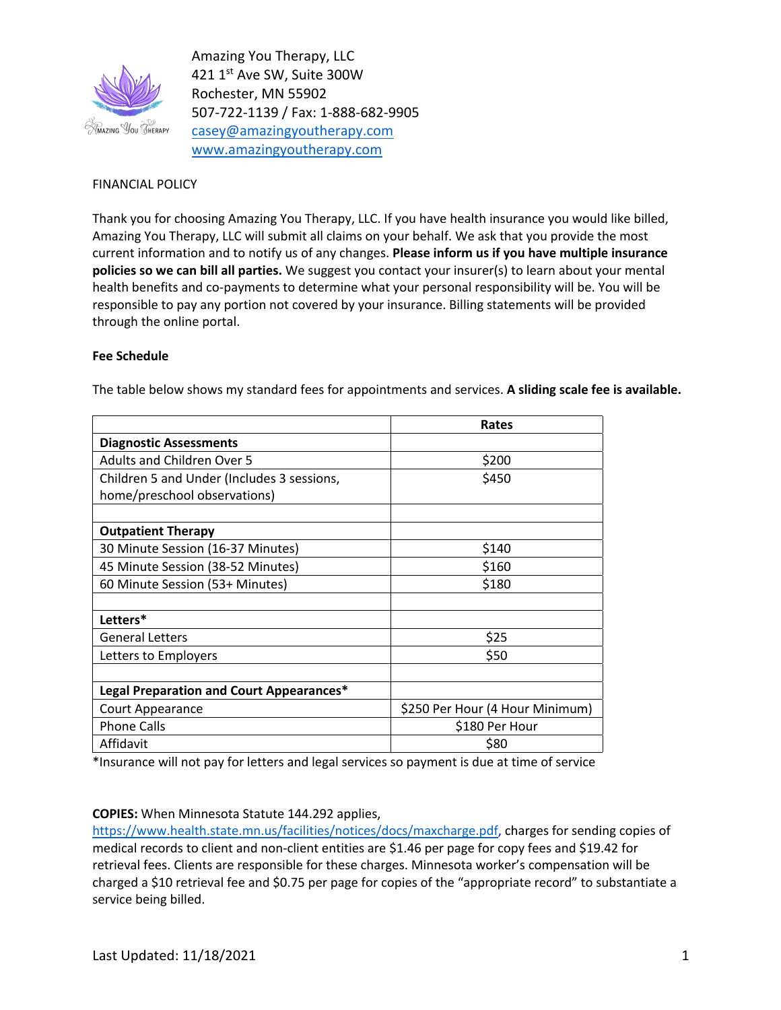

Amazing You Therapy, LLC 421 1st Ave SW, Suite 300W Rochester, MN 55902 507-722-1139 / Fax: 1-888-682-9905 casey@amazingyoutherapy.com www.amazingyoutherapy.com

## FINANCIAL POLICY

Thank you for choosing Amazing You Therapy, LLC. If you have health insurance you would like billed, Amazing You Therapy, LLC will submit all claims on your behalf. We ask that you provide the most current information and to notify us of any changes. **Please inform us if you have multiple insurance policies so we can bill all parties.** We suggest you contact your insurer(s) to learn about your mental health benefits and co-payments to determine what your personal responsibility will be. You will be responsible to pay any portion not covered by your insurance. Billing statements will be provided through the online portal.

## **Fee Schedule**

|                                            | Rates                           |
|--------------------------------------------|---------------------------------|
| <b>Diagnostic Assessments</b>              |                                 |
| <b>Adults and Children Over 5</b>          | \$200                           |
| Children 5 and Under (Includes 3 sessions, | \$450                           |
| home/preschool observations)               |                                 |
|                                            |                                 |
| <b>Outpatient Therapy</b>                  |                                 |
| 30 Minute Session (16-37 Minutes)          | \$140                           |
| 45 Minute Session (38-52 Minutes)          | \$160                           |
| 60 Minute Session (53+ Minutes)            | \$180                           |
|                                            |                                 |
| Letters*                                   |                                 |
| <b>General Letters</b>                     | \$25                            |
| Letters to Employers                       | \$50                            |
|                                            |                                 |
| Legal Preparation and Court Appearances*   |                                 |
| Court Appearance                           | \$250 Per Hour (4 Hour Minimum) |
| <b>Phone Calls</b>                         | \$180 Per Hour                  |
| Affidavit                                  | \$80                            |

The table below shows my standard fees for appointments and services. **A sliding scale fee is available.**

\*Insurance will not pay for letters and legal services so payment is due at time of service

## **COPIES:** When Minnesota Statute 144.292 applies,

https://www.health.state.mn.us/facilities/notices/docs/maxcharge.pdf, charges for sending copies of medical records to client and non-client entities are \$1.46 per page for copy fees and \$19.42 for retrieval fees. Clients are responsible for these charges. Minnesota worker's compensation will be charged a \$10 retrieval fee and \$0.75 per page for copies of the "appropriate record" to substantiate a service being billed.